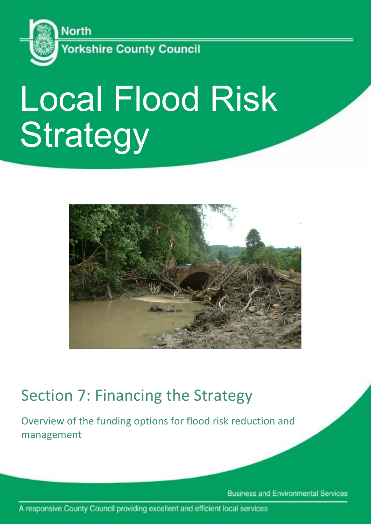

# Local Flood Risk **Strategy**



## Section 7: Financing the Strategy

Overview of the funding options for flood risk reduction and management

**Business and Environmental Services** 

A responsive County Council providing excellent and efficient local services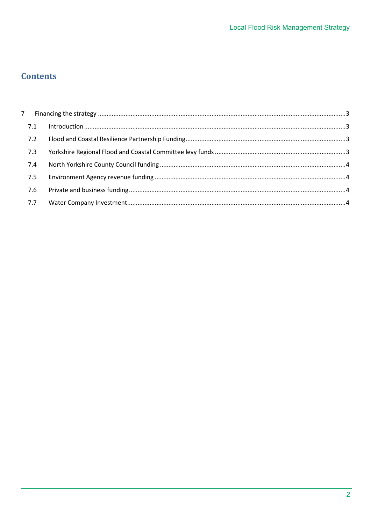### **Contents**

| 7.2 |  |
|-----|--|
| 7.3 |  |
| 7.4 |  |
| 7.5 |  |
|     |  |
| 7.7 |  |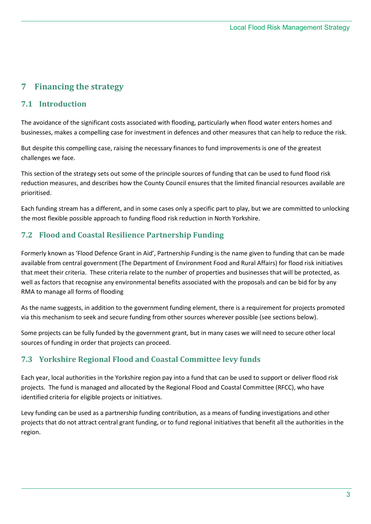#### <span id="page-2-0"></span>**7 Financing the strategy**

#### <span id="page-2-1"></span>**7.1 Introduction**

The avoidance of the significant costs associated with flooding, particularly when flood water enters homes and businesses, makes a compelling case for investment in defences and other measures that can help to reduce the risk.

But despite this compelling case, raising the necessary finances to fund improvements is one of the greatest challenges we face.

This section of the strategy sets out some of the principle sources of funding that can be used to fund flood risk reduction measures, and describes how the County Council ensures that the limited financial resources available are prioritised.

Each funding stream has a different, and in some cases only a specific part to play, but we are committed to unlocking the most flexible possible approach to funding flood risk reduction in North Yorkshire.

#### <span id="page-2-2"></span>**7.2 Flood and Coastal Resilience Partnership Funding**

Formerly known as 'Flood Defence Grant in Aid', Partnership Funding is the name given to funding that can be made available from central government (The Department of Environment Food and Rural Affairs) for flood risk initiatives that meet their criteria. These criteria relate to the number of properties and businesses that will be protected, as well as factors that recognise any environmental benefits associated with the proposals and can be bid for by any RMA to manage all forms of flooding

As the name suggests, in addition to the government funding element, there is a requirement for projects promoted via this mechanism to seek and secure funding from other sources wherever possible (see sections below).

Some projects can be fully funded by the government grant, but in many cases we will need to secure other local sources of funding in order that projects can proceed.

#### <span id="page-2-3"></span>**7.3 Yorkshire Regional Flood and Coastal Committee levy funds**

Each year, local authorities in the Yorkshire region pay into a fund that can be used to support or deliver flood risk projects. The fund is managed and allocated by the Regional Flood and Coastal Committee (RFCC), who have identified criteria for eligible projects or initiatives.

<span id="page-2-4"></span>Levy funding can be used as a partnership funding contribution, as a means of funding investigations and other projects that do not attract central grant funding, or to fund regional initiatives that benefit all the authorities in the region.